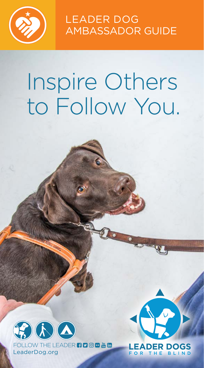

LEADER DOG AMBASSADOR GUIDE

## Inspire Others to Follow You.





THE **BLIND FOR**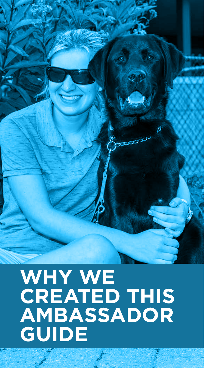

## **WHY WE CREATED THIS AMBASSADOR GUIDE**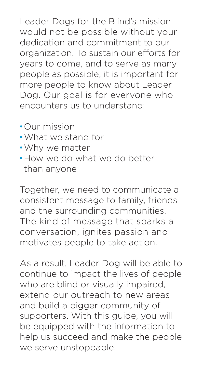Leader Dogs for the Blind's mission would not be possible without your dedication and commitment to our organization. To sustain our efforts for years to come, and to serve as many people as possible, it is important for more people to know about Leader Dog. Our goal is for everyone who encounters us to understand:

- Our mission
- What we stand for
- Why we matter
- How we do what we do better than anyone

Together, we need to communicate a consistent message to family, friends and the surrounding communities. The kind of message that sparks a conversation, ignites passion and motivates people to take action.

As a result, Leader Dog will be able to continue to impact the lives of people who are blind or visually impaired. extend our outreach to new areas and build a bigger community of supporters. With this guide, you will be equipped with the information to help us succeed and make the people we serve unstoppable.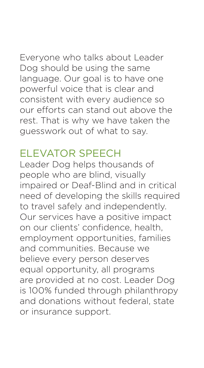#### Everyone who talks about Leader Dog should be using the same language. Our goal is to have one powerful voice that is clear and consistent with every audience so our efforts can stand out above the rest. That is why we have taken the guesswork out of what to say.

#### ELEVATOR SPEECH

Leader Dog helps thousands of people who are blind, visually impaired or Deaf-Blind and in critical need of developing the skills required to travel safely and independently. Our services have a positive impact on our clients' confidence, health, employment opportunities, families and communities. Because we believe every person deserves equal opportunity, all programs are provided at no cost. Leader Dog is 100% funded through philanthropy and donations without federal, state or insurance support.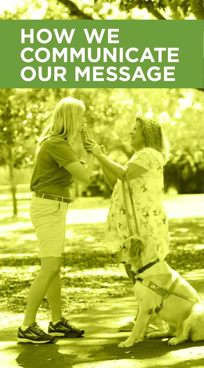## **HOW WE COMMUNICATE OUR MESSAGE**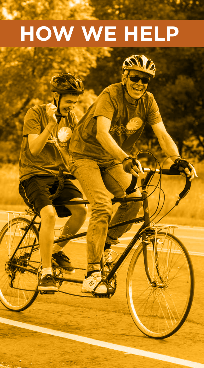# **HOW WE HELP**

M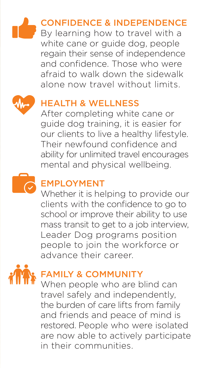#### CONFIDENCE & INDEPENDENCE

By learning how to travel with a white cane or guide dog, people regain their sense of independence and confidence. Those who were afraid to walk down the sidewalk alone now travel without limits.



#### HEALTH & WELLNESS

After completing white cane or guide dog training, it is easier for our clients to live a healthy lifestyle. Their newfound confidence and ability for unlimited travel encourages mental and physical wellbeing.



#### EMPLOYMENT

Whether it is helping to provide our clients with the confidence to go to school or improve their ability to use mass transit to get to a job interview, Leader Dog programs position people to join the workforce or advance their career.



#### FAMILY & COMMUNITY

When people who are blind can travel safely and independently, the burden of care lifts from family and friends and peace of mind is restored. People who were isolated are now able to actively participate in their communities.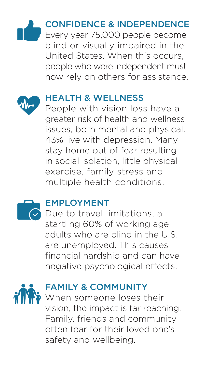#### CONFIDENCE & INDEPENDENCE Every year 75,000 people become

blind or visually impaired in the United States. When this occurs, people who were independent must now rely on others for assistance.



#### HEALTH & WELLNESS

People with vision loss have a greater risk of health and wellness issues, both mental and physical. 43% live with depression. Many stay home out of fear resulting in social isolation, little physical exercise, family stress and multiple health conditions.



#### EMPLOYMENT

Due to travel limitations, a startling 60% of working age adults who are blind in the U.S. are unemployed. This causes financial hardship and can have negative psychological effects.



#### FAMILY & COMMUNITY

**When someone loses their** vision, the impact is far reaching. Family, friends and community often fear for their loved one's safety and wellbeing.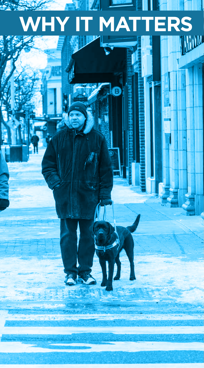# WHY IT MATTERS

 $\overline{B}$ 

 $\begin{array}{c} \hline \rule{0pt}{2ex} \rule{0pt}{2ex} \rule{0pt}{2ex} \rule{0pt}{2ex} \rule{0pt}{2ex} \rule{0pt}{2ex} \rule{0pt}{2ex} \rule{0pt}{2ex} \rule{0pt}{2ex} \rule{0pt}{2ex} \rule{0pt}{2ex} \rule{0pt}{2ex} \rule{0pt}{2ex} \rule{0pt}{2ex} \rule{0pt}{2ex} \rule{0pt}{2ex} \rule{0pt}{2ex} \rule{0pt}{2ex} \rule{0pt}{2ex} \rule{0pt}{2ex} \rule{0pt}{2ex} \rule{0pt}{2ex} \rule{0pt}{2ex} \rule{$  $\bm{l}$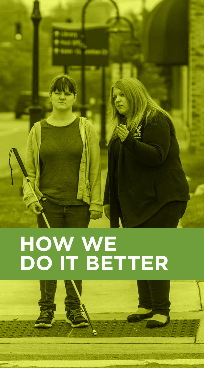

## **HOW WE DO IT BETTER**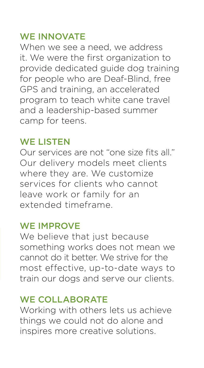#### WE INNOVATE

When we see a need, we address it. We were the first organization to provide dedicated guide dog training for people who are Deaf-Blind, free GPS and training, an accelerated program to teach white cane travel and a leadership-based summer camp for teens.

#### WE LISTEN

Our services are not "one size fits all." Our delivery models meet clients where they are. We customize services for clients who cannot leave work or family for an extended timeframe.

#### WE IMPROVE

We believe that just because something works does not mean we cannot do it better. We strive for the most effective, up-to-date ways to train our dogs and serve our clients.

#### WE COLLABORATE

Working with others lets us achieve things we could not do alone and inspires more creative solutions.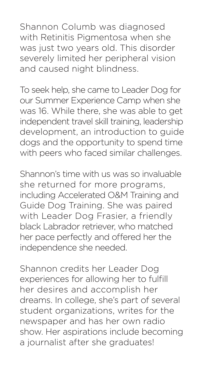Shannon Columb was diagnosed with Retinitis Pigmentosa when she was just two years old. This disorder severely limited her peripheral vision and caused night blindness.

To seek help, she came to Leader Dog for our Summer Experience Camp when she was 16. While there, she was able to get independent travel skill training, leadership development, an introduction to guide dogs and the opportunity to spend time with peers who faced similar challenges.

Shannon's time with us was so invaluable she returned for more programs, including Accelerated O&M Training and Guide Dog Training. She was paired with Leader Dog Frasier, a friendly black Labrador retriever, who matched her pace perfectly and offered her the independence she needed.

Shannon credits her Leader Dog experiences for allowing her to fulfill her desires and accomplish her dreams. In college, she's part of several student organizations, writes for the newspaper and has her own radio show. Her aspirations include becoming a journalist after she graduates!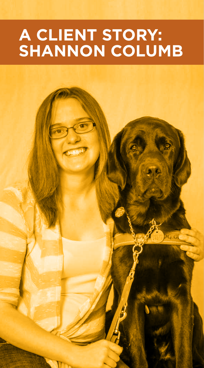### **A CLIENT STORY: SHANNON COLUMB**

 $\overline{G}$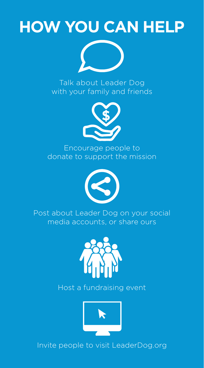## **HOW YOU CAN HELP**



Talk about Leader Dog with your family and friends



Encourage people to donate to support the mission



Post about Leader Dog on your social media accounts, or share ours



Host a fundraising event



Invite people to visit LeaderDog.org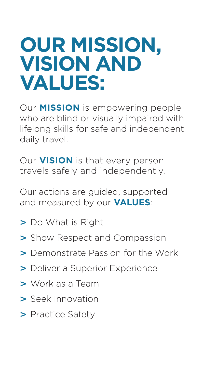## **OUR MISSION, VISION AND VALUES:**

Our **MISSION** is empowering people who are blind or visually impaired with lifelong skills for safe and independent daily travel.

Our **VISION** is that every person travels safely and independently.

Our actions are guided, supported and measured by our **VALUES**:

- **>** Do What is Right
- **>** Show Respect and Compassion
- **>** Demonstrate Passion for the Work
- **>** Deliver a Superior Experience
- **>** Work as a Team
- **>** Seek Innovation
- **>** Practice Safety